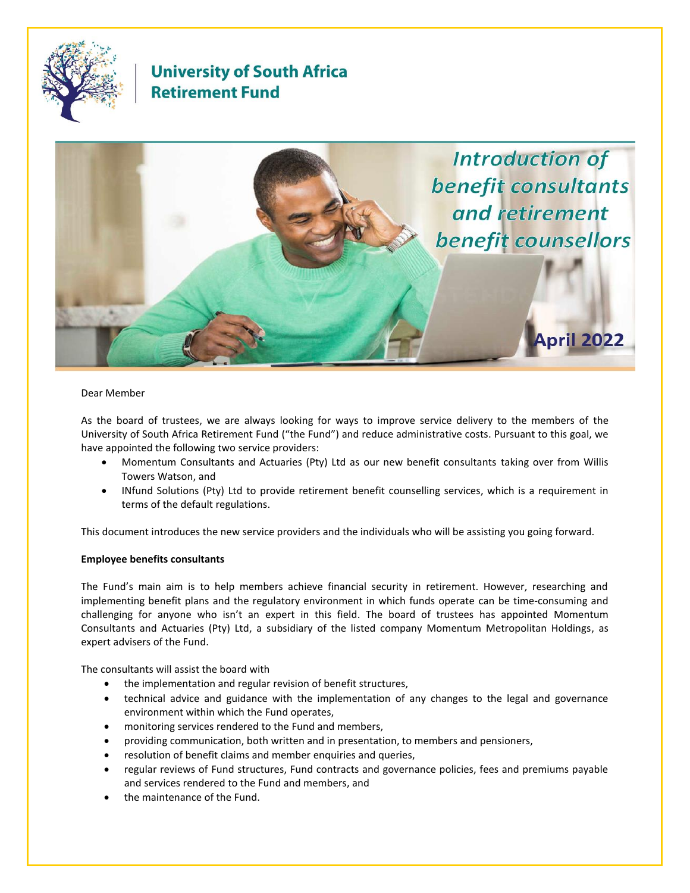

# **University of South Africa Retirement Fund**



# Dear Member

As the board of trustees, we are always looking for ways to improve service delivery to the members of the University of South Africa Retirement Fund ("the Fund") and reduce administrative costs. Pursuant to this goal, we have appointed the following two service providers:

- Momentum Consultants and Actuaries (Pty) Ltd as our new benefit consultants taking over from Willis Towers Watson, and
- INfund Solutions (Pty) Ltd to provide retirement benefit counselling services, which is a requirement in terms of the default regulations.

This document introduces the new service providers and the individuals who will be assisting you going forward.

# **Employee benefits consultants**

The Fund's main aim is to help members achieve financial security in retirement. However, researching and implementing benefit plans and the regulatory environment in which funds operate can be time-consuming and challenging for anyone who isn't an expert in this field. The board of trustees has appointed Momentum Consultants and Actuaries (Pty) Ltd, a subsidiary of the listed company Momentum Metropolitan Holdings, as expert advisers of the Fund.

The consultants will assist the board with

- the implementation and regular revision of benefit structures,
- technical advice and guidance with the implementation of any changes to the legal and governance environment within which the Fund operates,
- monitoring services rendered to the Fund and members,
- providing communication, both written and in presentation, to members and pensioners,
- resolution of benefit claims and member enquiries and queries,
- regular reviews of Fund structures, Fund contracts and governance policies, fees and premiums payable and services rendered to the Fund and members, and
- the maintenance of the Fund.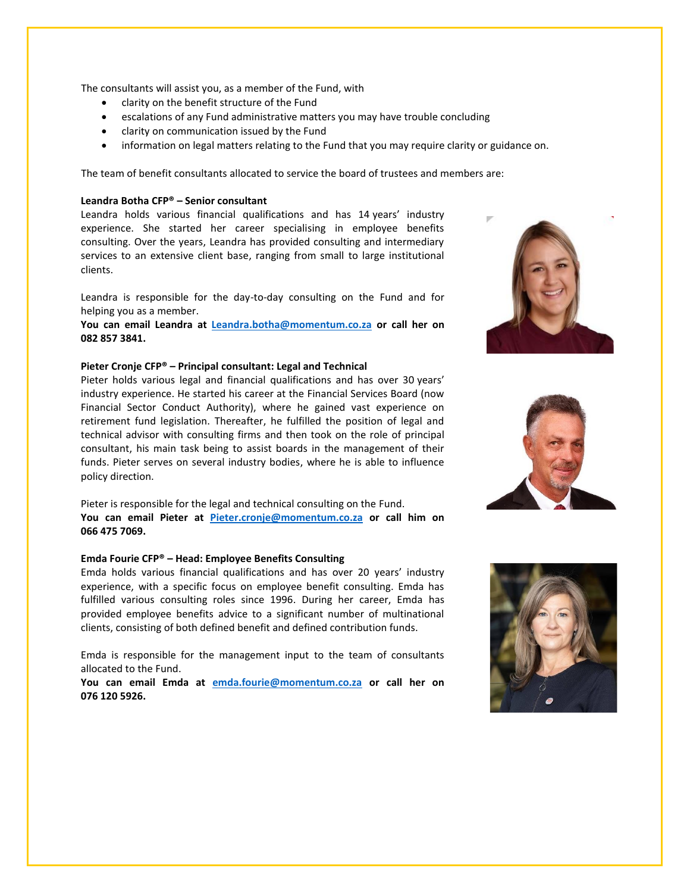The consultants will assist you, as a member of the Fund, with

- clarity on the benefit structure of the Fund
- escalations of any Fund administrative matters you may have trouble concluding
- clarity on communication issued by the Fund
- information on legal matters relating to the Fund that you may require clarity or guidance on.

The team of benefit consultants allocated to service the board of trustees and members are:

## **Leandra Botha CFP® – Senior consultant**

Leandra holds various financial qualifications and has 14 years' industry experience. She started her career specialising in employee benefits consulting. Over the years, Leandra has provided consulting and intermediary services to an extensive client base, ranging from small to large institutional clients.

Leandra is responsible for the day-to-day consulting on the Fund and for helping you as a member.

**You can email Leandra at [Leandra.botha@momentum.co.za](mailto:Leandra.botha@momentum.co.za) or call her on 082 857 3841.** 

#### **Pieter Cronje CFP® – Principal consultant: Legal and Technical**

Pieter holds various legal and financial qualifications and has over 30 years' industry experience. He started his career at the Financial Services Board (now Financial Sector Conduct Authority), where he gained vast experience on retirement fund legislation. Thereafter, he fulfilled the position of legal and technical advisor with consulting firms and then took on the role of principal consultant, his main task being to assist boards in the management of their funds. Pieter serves on several industry bodies, where he is able to influence policy direction.

Pieter is responsible for the legal and technical consulting on the Fund. **You can email Pieter at [Pieter.cronje@momentum.co.za](mailto:Pieter.cronje@momentum.co.za) or call him on 066 475 7069.**

#### **Emda Fourie CFP® – Head: Employee Benefits Consulting**

Emda holds various financial qualifications and has over 20 years' industry experience, with a specific focus on employee benefit consulting. Emda has fulfilled various consulting roles since 1996. During her career, Emda has provided employee benefits advice to a significant number of multinational clients, consisting of both defined benefit and defined contribution funds.

Emda is responsible for the management input to the team of consultants allocated to the Fund.

**You can email Emda at [emda.fourie@momentum.co.za](mailto:emda.fourie@momentum.co.za) or call her on 076 120 5926.**